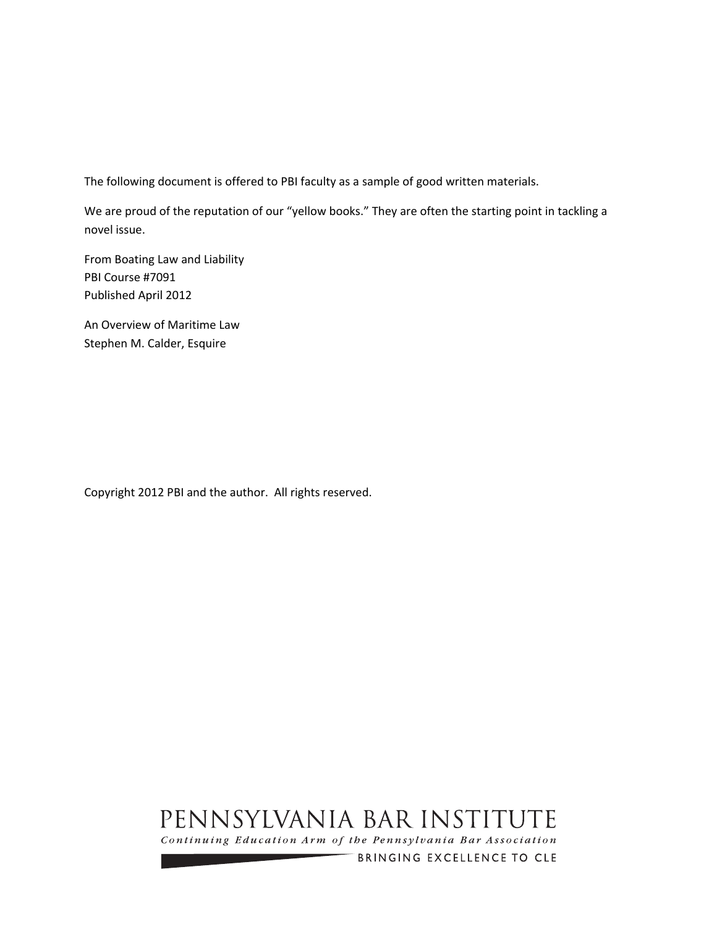The following document is offered to PBI faculty as a sample of good written materials.

We are proud of the reputation of our "yellow books." They are often the starting point in tackling a novel issue.

From Boating Law and Liability PBI Course #7091 Published April 2012

An Overview of Maritime Law Stephen M. Calder, Esquire

Copyright 2012 PBI and the author. All rights reserved.

# PENNSYLVANIA BAR INSTITUTE

Continuing Education Arm of the Pennsylvania Bar Association

BRINGING EXCELLENCE TO CLE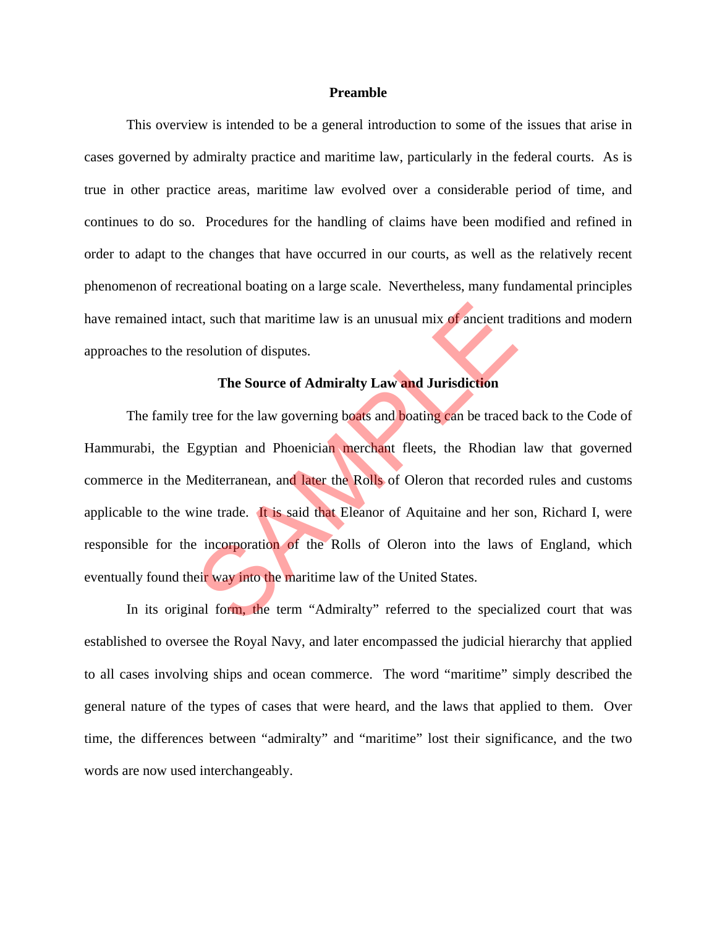#### **Preamble**

 This overview is intended to be a general introduction to some of the issues that arise in cases governed by admiralty practice and maritime law, particularly in the federal courts. As is true in other practice areas, maritime law evolved over a considerable period of time, and continues to do so. Procedures for the handling of claims have been modified and refined in order to adapt to the changes that have occurred in our courts, as well as the relatively recent phenomenon of recreational boating on a large scale. Nevertheless, many fundamental principles have remained intact, such that maritime law is an unusual mix of ancient traditions and modern approaches to the resolution of disputes.

### **The Source of Admiralty Law and Jurisdiction**

The family tree for the law governing boats and boating can be traced back to the Code of Hammurabi, the Egyptian and Phoenician merchant fleets, the Rhodian law that governed commerce in the Mediterranean, and later the Rolls of Oleron that recorded rules and customs applicable to the wine trade. It is said that Eleanor of Aquitaine and her son, Richard I, were responsible for the incorporation of the Rolls of Oleron into the laws of England, which eventually found their way into the maritime law of the United States. ext, such that maritime law is an unusual mix of ancient transvolution of disputes.<br>
The Source of Admiralty Law and Jurisdiction<br>
tree for the law governing boats and boating can be traced<br>
igyptian and Phoenician merchan

 In its original form, the term "Admiralty" referred to the specialized court that was established to oversee the Royal Navy, and later encompassed the judicial hierarchy that applied to all cases involving ships and ocean commerce. The word "maritime" simply described the general nature of the types of cases that were heard, and the laws that applied to them. Over time, the differences between "admiralty" and "maritime" lost their significance, and the two words are now used interchangeably.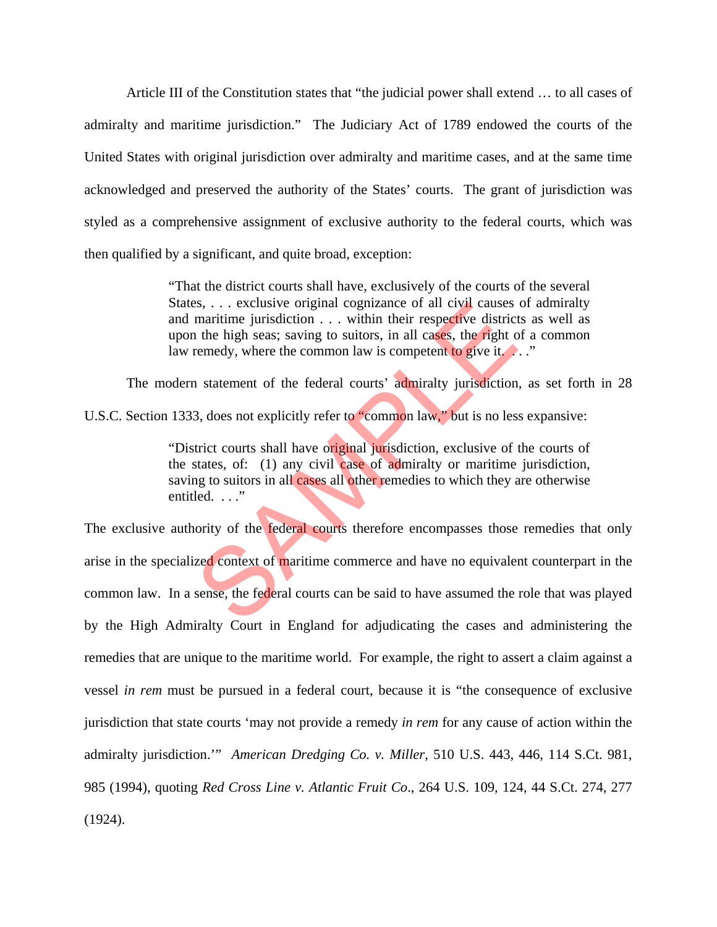Article III of the Constitution states that "the judicial power shall extend … to all cases of admiralty and maritime jurisdiction." The Judiciary Act of 1789 endowed the courts of the United States with original jurisdiction over admiralty and maritime cases, and at the same time acknowledged and preserved the authority of the States' courts. The grant of jurisdiction was styled as a comprehensive assignment of exclusive authority to the federal courts, which was then qualified by a significant, and quite broad, exception:

> "That the district courts shall have, exclusively of the courts of the several States, ... exclusive original cognizance of all civil causes of admiralty and maritime jurisdiction . . . within their respective districts as well as upon the high seas; saving to suitors, in all cases, the right of a common law remedy, where the common law is competent to give it.

The modern statement of the federal courts' admiralty jurisdiction, as set forth in 28 U.S.C. Section 1333, does not explicitly refer to "common law," but is no less expansive:

> "District courts shall have original jurisdiction, exclusive of the courts of the states, of: (1) any civil case of admiralty or maritime jurisdiction, saving to suitors in all cases all other remedies to which they are otherwise entitled. . . ."

The exclusive authority of the **federal courts** therefore encompasses those remedies that only arise in the specialized context of maritime commerce and have no equivalent counterpart in the common law. In a sense, the federal courts can be said to have assumed the role that was played by the High Admiralty Court in England for adjudicating the cases and administering the remedies that are unique to the maritime world. For example, the right to assert a claim against a vessel *in rem* must be pursued in a federal court, because it is "the consequence of exclusive jurisdiction that state courts 'may not provide a remedy *in rem* for any cause of action within the admiralty jurisdiction.'" *American Dredging Co. v. Miller*, 510 U.S. 443, 446, 114 S.Ct. 981, 985 (1994), quoting *Red Cross Line v. Atlantic Fruit Co*., 264 U.S. 109, 124, 44 S.Ct. 274, 277 (1924). Example the same of all clystates of all clystates maritime jurisdiction  $\ldots$  within their respective district the high seas; saving to suitors, in all cases, the **right** of eremedy, where the common law is competent to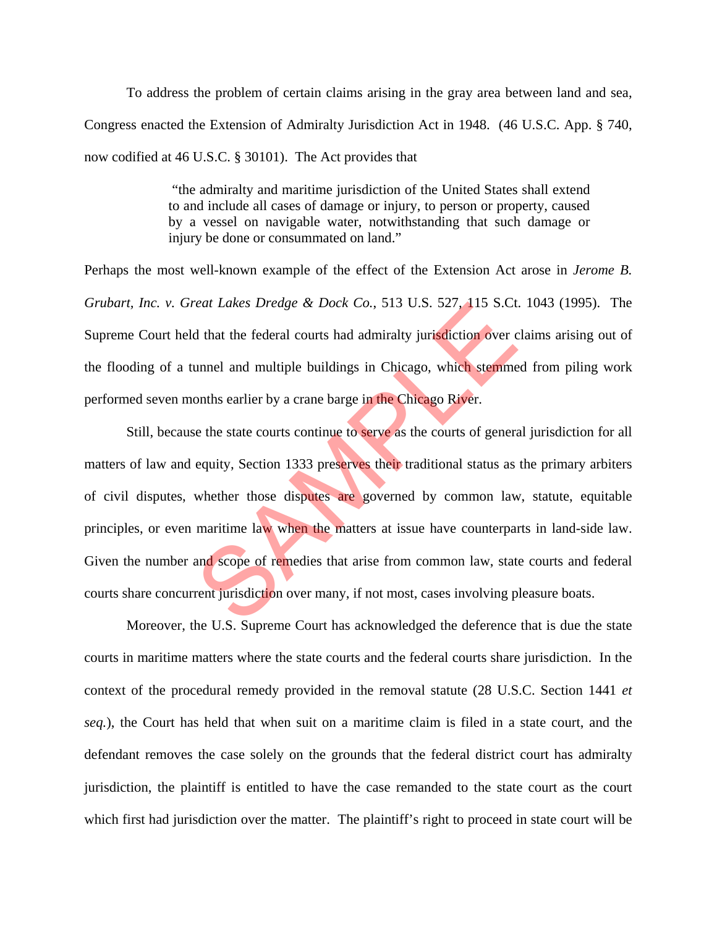To address the problem of certain claims arising in the gray area between land and sea, Congress enacted the Extension of Admiralty Jurisdiction Act in 1948. (46 U.S.C. App. § 740, now codified at 46 U.S.C. § 30101). The Act provides that

> "the admiralty and maritime jurisdiction of the United States shall extend to and include all cases of damage or injury, to person or property, caused by a vessel on navigable water, notwithstanding that such damage or injury be done or consummated on land."

Perhaps the most well-known example of the effect of the Extension Act arose in *Jerome B. Grubart, Inc. v. Great Lakes Dredge & Dock Co.*, 513 U.S. 527, 115 S.Ct. 1043 (1995). The Supreme Court held that the federal courts had admiralty jurisdiction over claims arising out of the flooding of a tunnel and multiple buildings in Chicago, which stemmed from piling work performed seven months earlier by a crane barge in the Chicago River.

Still, because the state courts continue to serve as the courts of general jurisdiction for all matters of law and equity, Section 1333 preserves their traditional status as the primary arbiters of civil disputes, whether those disputes are governed by common law, statute, equitable principles, or even maritime law when the matters at issue have counterparts in land-side law. Given the number and scope of remedies that arise from common law, state courts and federal courts share concurrent jurisdiction over many, if not most, cases involving pleasure boats. real Lakes Dredge & Dock Co., 513 U.S. 527, 115 S.Ct<br>d that the federal courts had admiralty jurisdiction over c<br>unnel and multiple buildings in Chicago, which stemme<br>onths earlier by a crane barge in the Chicago River.<br>se

 Moreover, the U.S. Supreme Court has acknowledged the deference that is due the state courts in maritime matters where the state courts and the federal courts share jurisdiction. In the context of the procedural remedy provided in the removal statute (28 U.S.C. Section 1441 *et seq.*), the Court has held that when suit on a maritime claim is filed in a state court, and the defendant removes the case solely on the grounds that the federal district court has admiralty jurisdiction, the plaintiff is entitled to have the case remanded to the state court as the court which first had jurisdiction over the matter. The plaintiff's right to proceed in state court will be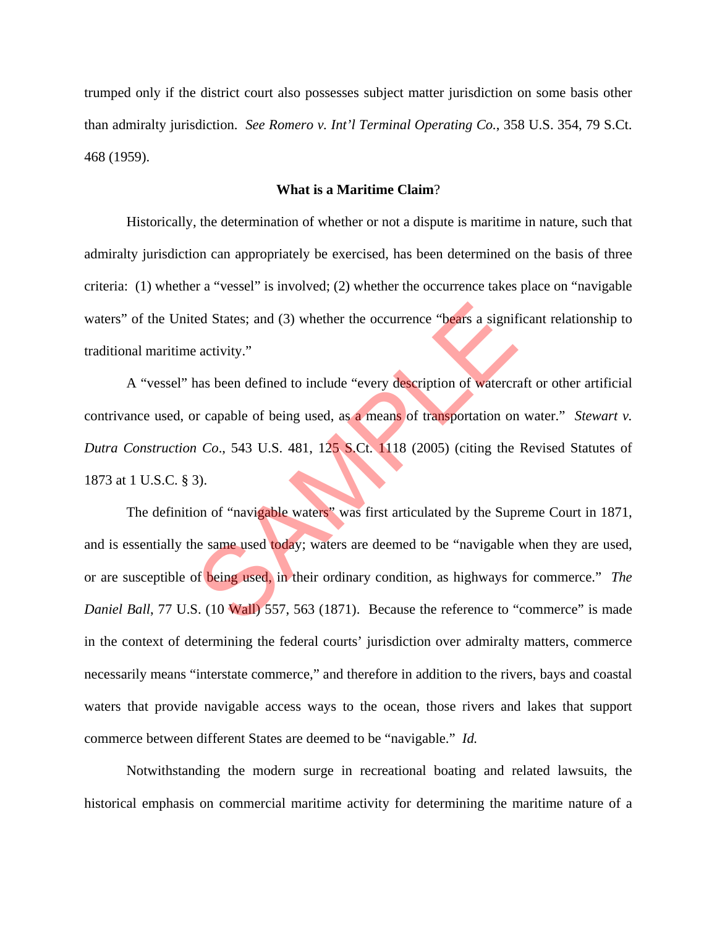trumped only if the district court also possesses subject matter jurisdiction on some basis other than admiralty jurisdiction. *See Romero v. Int'l Terminal Operating Co.*, 358 U.S. 354, 79 S.Ct. 468 (1959).

#### **What is a Maritime Claim**?

 Historically, the determination of whether or not a dispute is maritime in nature, such that admiralty jurisdiction can appropriately be exercised, has been determined on the basis of three criteria: (1) whether a "vessel" is involved; (2) whether the occurrence takes place on "navigable waters" of the United States; and (3) whether the occurrence "bears a significant relationship to traditional maritime activity."

 A "vessel" has been defined to include "every description of watercraft or other artificial contrivance used, or capable of being used, as a means of transportation on water." *Stewart v. Dutra Construction Co*., 543 U.S. 481, 125 S.Ct. 1118 (2005) (citing the Revised Statutes of 1873 at 1 U.S.C. § 3).

 The definition of "navigable waters" was first articulated by the Supreme Court in 1871, and is essentially the same used today; waters are deemed to be "navigable when they are used, or are susceptible of being used, in their ordinary condition, as highways for commerce." *The Daniel Ball*, 77 U.S. (10 Wall) 557, 563 (1871). Because the reference to "commerce" is made in the context of determining the federal courts' jurisdiction over admiralty matters, commerce necessarily means "interstate commerce," and therefore in addition to the rivers, bays and coastal waters that provide navigable access ways to the ocean, those rivers and lakes that support commerce between different States are deemed to be "navigable." *Id.* ed States; and (3) whether the occurrence "bears a significativity."<br>
has been defined to include "every description of watercracking the set of being used, as a means of transportation on<br>
i Co., 543 U.S. 481, 125 S.Ct. 1

 Notwithstanding the modern surge in recreational boating and related lawsuits, the historical emphasis on commercial maritime activity for determining the maritime nature of a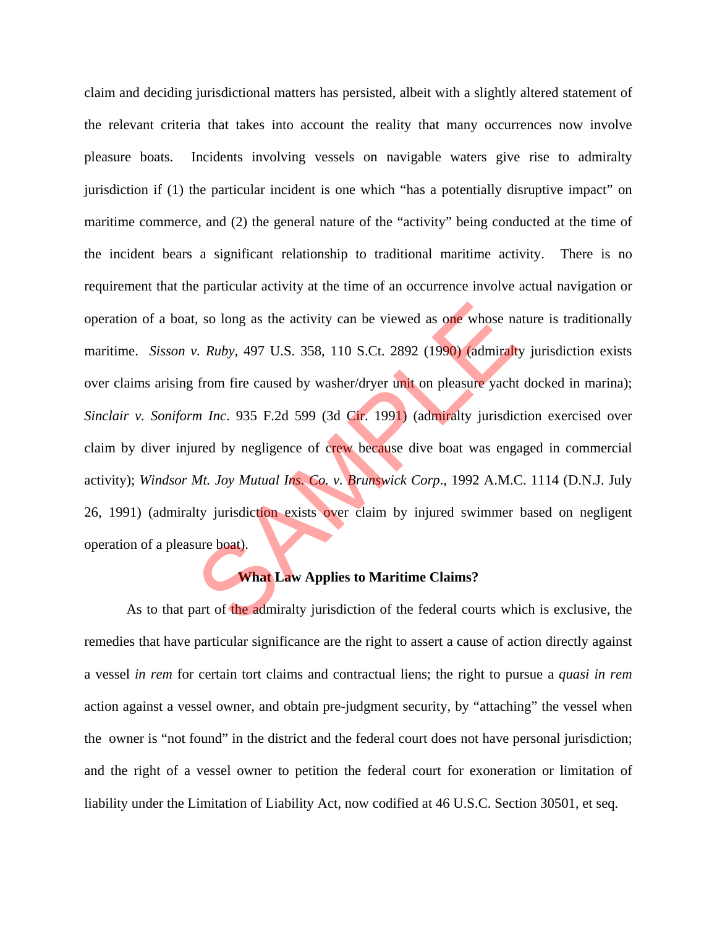claim and deciding jurisdictional matters has persisted, albeit with a slightly altered statement of the relevant criteria that takes into account the reality that many occurrences now involve pleasure boats. Incidents involving vessels on navigable waters give rise to admiralty jurisdiction if (1) the particular incident is one which "has a potentially disruptive impact" on maritime commerce, and (2) the general nature of the "activity" being conducted at the time of the incident bears a significant relationship to traditional maritime activity. There is no requirement that the particular activity at the time of an occurrence involve actual navigation or operation of a boat, so long as the activity can be viewed as one whose nature is traditionally maritime. *Sisson v. Ruby*, 497 U.S. 358, 110 S.Ct. 2892 (1990) (admiralty jurisdiction exists over claims arising from fire caused by washer/dryer unit on pleasure yacht docked in marina); *Sinclair v. Soniform Inc*. 935 F.2d 599 (3d Cir. 1991) (admiralty jurisdiction exercised over claim by diver injured by negligence of crew because dive boat was engaged in commercial activity); *Windsor Mt. Joy Mutual Ins. Co. v. Brunswick Corp*., 1992 A.M.C. 1114 (D.N.J. July 26, 1991) (admiralty jurisdiction exists over claim by injured swimmer based on negligent operation of a pleasure boat). So long as the activity can be viewed as one whose not<br>
2. Ruby, 497 U.S. 358, 110 S.Ct. 2892 (1990) (admiralt<br>
from fire caused by washer/dryer unit on pleasure yacht<br>
1991) (admiralty jurisdic<br>
1991) (admiralty jurisdic<br>

## **What Law Applies to Maritime Claims?**

As to that part of the admiralty jurisdiction of the federal courts which is exclusive, the remedies that have particular significance are the right to assert a cause of action directly against a vessel *in rem* for certain tort claims and contractual liens; the right to pursue a *quasi in rem* action against a vessel owner, and obtain pre-judgment security, by "attaching" the vessel when the owner is "not found" in the district and the federal court does not have personal jurisdiction; and the right of a vessel owner to petition the federal court for exoneration or limitation of liability under the Limitation of Liability Act, now codified at 46 U.S.C. Section 30501, et seq.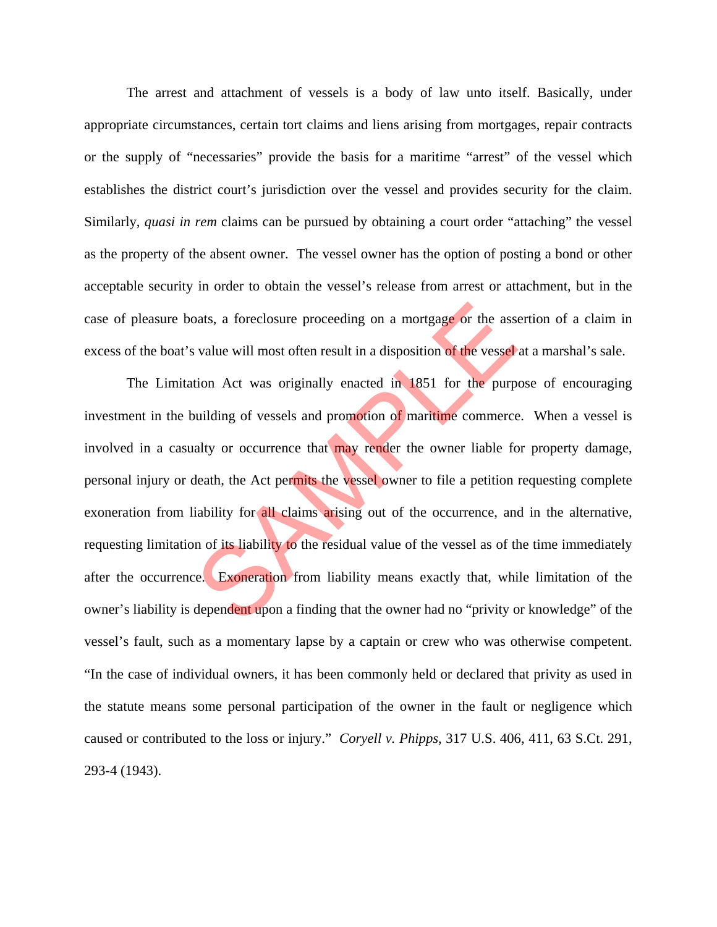The arrest and attachment of vessels is a body of law unto itself. Basically, under appropriate circumstances, certain tort claims and liens arising from mortgages, repair contracts or the supply of "necessaries" provide the basis for a maritime "arrest" of the vessel which establishes the district court's jurisdiction over the vessel and provides security for the claim. Similarly, *quasi in rem* claims can be pursued by obtaining a court order "attaching" the vessel as the property of the absent owner. The vessel owner has the option of posting a bond or other acceptable security in order to obtain the vessel's release from arrest or attachment, but in the case of pleasure boats, a foreclosure proceeding on a mortgage or the assertion of a claim in excess of the boat's value will most often result in a disposition of the vessel at a marshal's sale.

 The Limitation Act was originally enacted in 1851 for the purpose of encouraging investment in the building of vessels and promotion of maritime commerce. When a vessel is involved in a casualty or occurrence that may render the owner liable for property damage, personal injury or death, the Act permits the vessel owner to file a petition requesting complete exoneration from liability for all claims arising out of the occurrence, and in the alternative, requesting limitation of its liability to the residual value of the vessel as of the time immediately after the occurrence. Exoneration from liability means exactly that, while limitation of the owner's liability is dependent upon a finding that the owner had no "privity or knowledge" of the vessel's fault, such as a momentary lapse by a captain or crew who was otherwise competent. "In the case of individual owners, it has been commonly held or declared that privity as used in the statute means some personal participation of the owner in the fault or negligence which caused or contributed to the loss or injury." *Coryell v. Phipps*, 317 U.S. 406, 411, 63 S.Ct. 291, 293-4 (1943). basis, a foreclosure proceeding on a mortgage or the assessed value will most often result in a disposition of the vessel<br>tion Act was originally enacted in 1851 for the purp<br>wilding of vessels and promotion of maritime co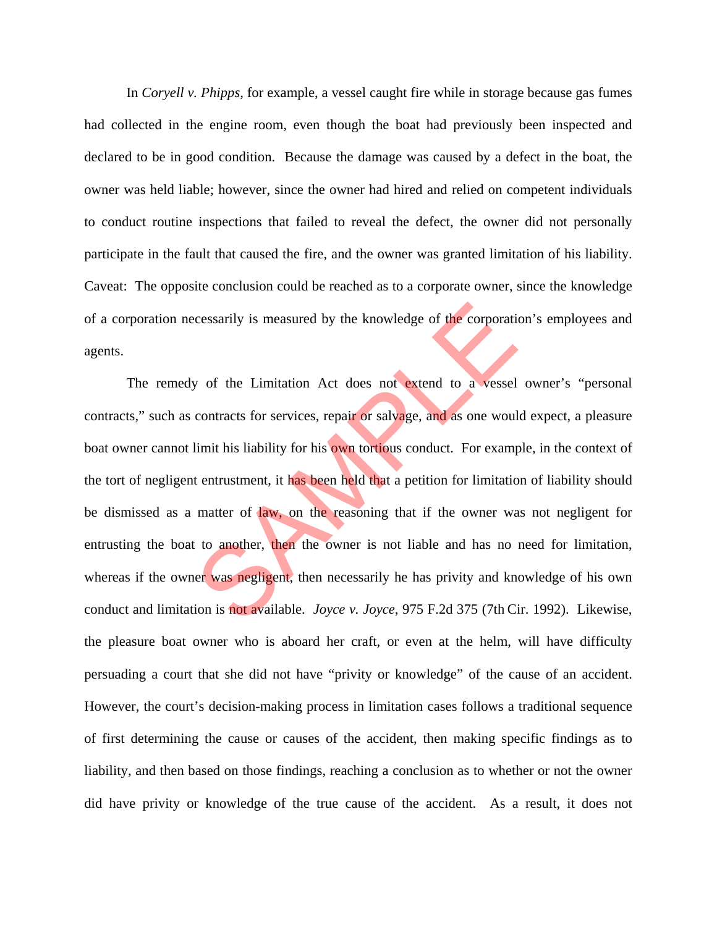In *Coryell v. Phipps*, for example, a vessel caught fire while in storage because gas fumes had collected in the engine room, even though the boat had previously been inspected and declared to be in good condition. Because the damage was caused by a defect in the boat, the owner was held liable; however, since the owner had hired and relied on competent individuals to conduct routine inspections that failed to reveal the defect, the owner did not personally participate in the fault that caused the fire, and the owner was granted limitation of his liability. Caveat: The opposite conclusion could be reached as to a corporate owner, since the knowledge of a corporation necessarily is measured by the knowledge of the corporation's employees and agents.

 The remedy of the Limitation Act does not extend to a vessel owner's "personal contracts," such as contracts for services, repair or salvage, and as one would expect, a pleasure boat owner cannot limit his liability for his own tortious conduct. For example, in the context of the tort of negligent entrustment, it has been held that a petition for limitation of liability should be dismissed as a matter of law, on the reasoning that if the owner was not negligent for entrusting the boat to another, then the owner is not liable and has no need for limitation, whereas if the owner was negligent, then necessarily he has privity and knowledge of his own conduct and limitation is not available. *Joyce v. Joyce*, 975 F.2d 375 (7th Cir. 1992). Likewise, the pleasure boat owner who is aboard her craft, or even at the helm, will have difficulty persuading a court that she did not have "privity or knowledge" of the cause of an accident. However, the court's decision-making process in limitation cases follows a traditional sequence of first determining the cause or causes of the accident, then making specific findings as to liability, and then based on those findings, reaching a conclusion as to whether or not the owner did have privity or knowledge of the true cause of the accident. As a result, it does not cessarily is measured by the knowledge of the corporation<br>y of the Limitation Act does not extend to a vessel<br>contracts for services, repair or salvage, and as one woul<br>limit his liability for his own tortious conduct. For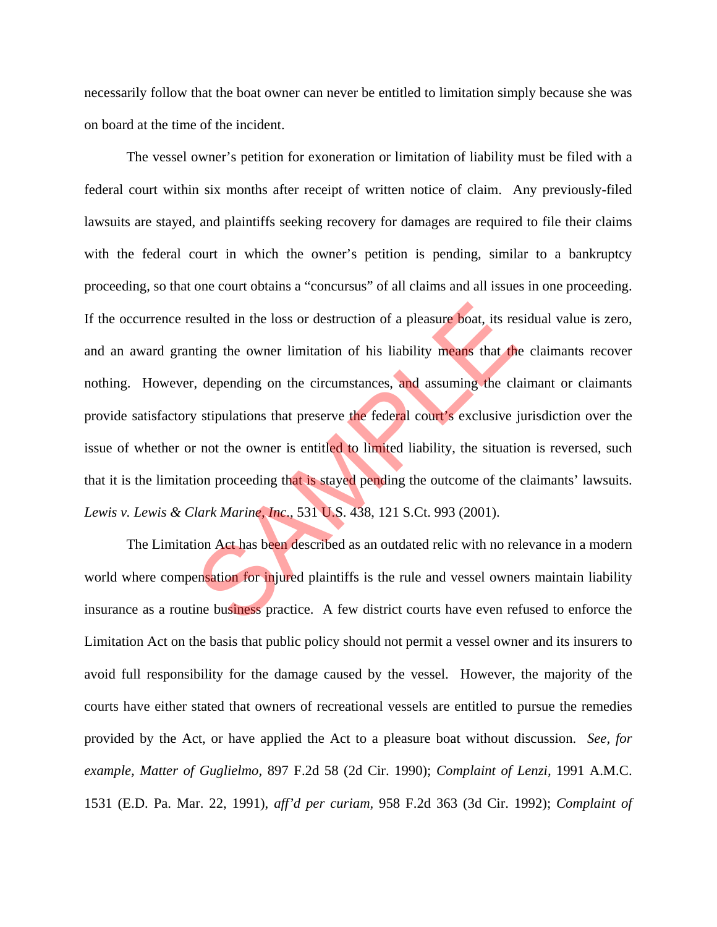necessarily follow that the boat owner can never be entitled to limitation simply because she was on board at the time of the incident.

 The vessel owner's petition for exoneration or limitation of liability must be filed with a federal court within six months after receipt of written notice of claim. Any previously-filed lawsuits are stayed, and plaintiffs seeking recovery for damages are required to file their claims with the federal court in which the owner's petition is pending, similar to a bankruptcy proceeding, so that one court obtains a "concursus" of all claims and all issues in one proceeding. If the occurrence resulted in the loss or destruction of a pleasure boat, its residual value is zero, and an award granting the owner limitation of his liability means that the claimants recover nothing. However, depending on the circumstances, and assuming the claimant or claimants provide satisfactory stipulations that preserve the federal court's exclusive jurisdiction over the issue of whether or not the owner is entitled to limited liability, the situation is reversed, such that it is the limitation proceeding that is stayed pending the outcome of the claimants' lawsuits. *Lewis v. Lewis & Clark Marine, Inc*., 531 U.S. 438, 121 S.Ct. 993 (2001). esulted in the loss or destruction of a pleasure boat, its realisting the owner limitation of his liability means that the characteristic discussive is depending on the circumstances, and assuming the class of stipulations

The Limitation Act has been described as an outdated relic with no relevance in a modern world where compensation for injured plaintiffs is the rule and vessel owners maintain liability insurance as a routine business practice. A few district courts have even refused to enforce the Limitation Act on the basis that public policy should not permit a vessel owner and its insurers to avoid full responsibility for the damage caused by the vessel. However, the majority of the courts have either stated that owners of recreational vessels are entitled to pursue the remedies provided by the Act, or have applied the Act to a pleasure boat without discussion. *See, for example, Matter of Guglielmo*, 897 F.2d 58 (2d Cir. 1990); *Complaint of Lenzi,* 1991 A.M.C. 1531 (E.D. Pa. Mar. 22, 1991), *aff'd per curiam,* 958 F.2d 363 (3d Cir. 1992); *Complaint of*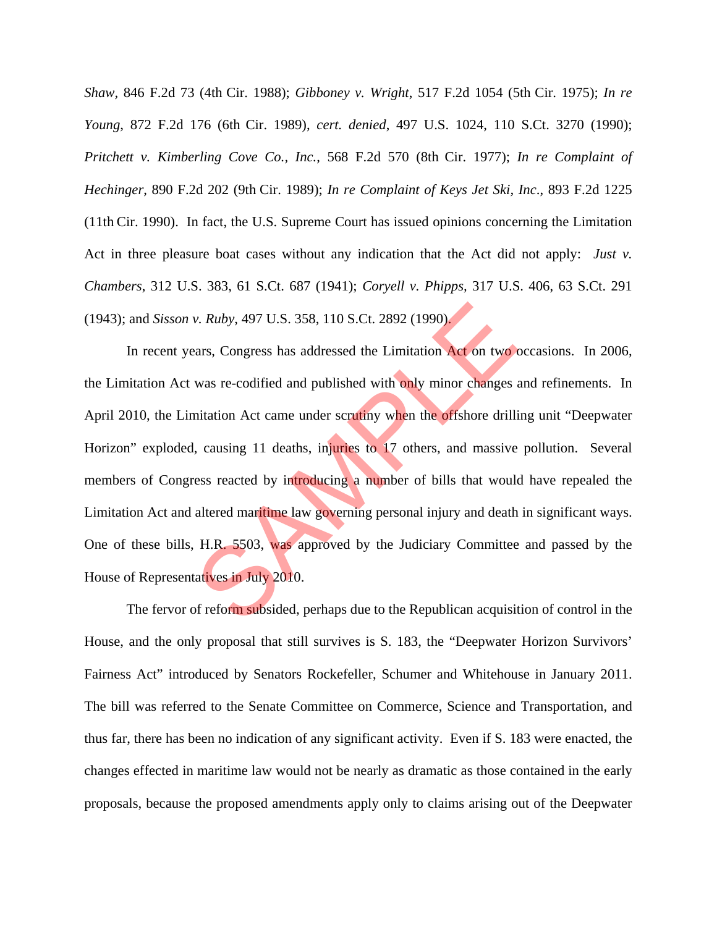*Shaw,* 846 F.2d 73 (4th Cir. 1988); *Gibboney v. Wright*, 517 F.2d 1054 (5th Cir. 1975); *In re Young*, 872 F.2d 176 (6th Cir. 1989), *cert. denied*, 497 U.S. 1024, 110 S.Ct. 3270 (1990); *Pritchett v. Kimberling Cove Co., Inc.*, 568 F.2d 570 (8th Cir. 1977); *In re Complaint of Hechinger*, 890 F.2d 202 (9th Cir. 1989); *In re Complaint of Keys Jet Ski, Inc*., 893 F.2d 1225 (11th Cir. 1990). In fact, the U.S. Supreme Court has issued opinions concerning the Limitation Act in three pleasure boat cases without any indication that the Act did not apply: *Just v. Chambers*, 312 U.S. 383, 61 S.Ct. 687 (1941); *Coryell v. Phipps,* 317 U.S. 406, 63 S.Ct. 291 (1943); and *Sisson v. Ruby*, 497 U.S. 358, 110 S.Ct. 2892 (1990).

In recent years, Congress has addressed the Limitation Act on two occasions. In 2006, the Limitation Act was re-codified and published with only minor changes and refinements. In April 2010, the Limitation Act came under scrutiny when the offshore drilling unit "Deepwater Horizon" exploded, causing 11 deaths, injuries to 17 others, and massive pollution. Several members of Congress reacted by introducing a number of bills that would have repealed the Limitation Act and altered maritime law governing personal injury and death in significant ways. One of these bills, H.R. 5503, was approved by the Judiciary Committee and passed by the House of Representatives in July 2010. v. Ruby, 497 U.S. 358, 110 S.Ct. 2892 (1990).<br>
Example 1900).<br>
Example 2016 and published with only minor changes and the control was re-codified and published with only minor changes and mitation Act came under scrutiny w

The fervor of reform subsided, perhaps due to the Republican acquisition of control in the House, and the only proposal that still survives is S. 183, the "Deepwater Horizon Survivors' Fairness Act" introduced by Senators Rockefeller, Schumer and Whitehouse in January 2011. The bill was referred to the Senate Committee on Commerce, Science and Transportation, and thus far, there has been no indication of any significant activity. Even if S. 183 were enacted, the changes effected in maritime law would not be nearly as dramatic as those contained in the early proposals, because the proposed amendments apply only to claims arising out of the Deepwater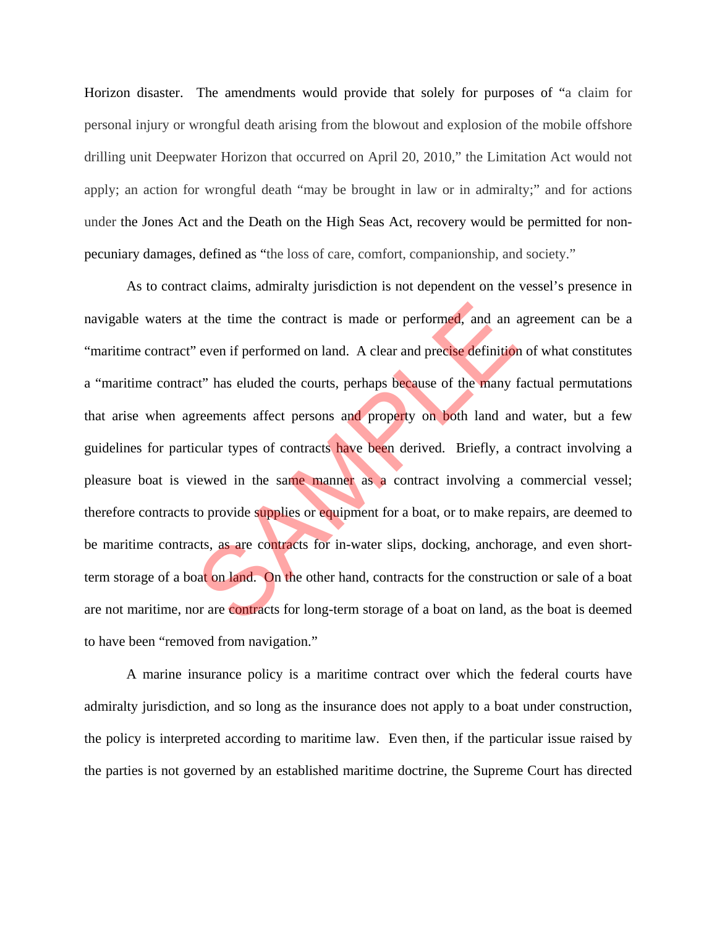Horizon disaster. The amendments would provide that solely for purposes of "a claim for personal injury or wrongful death arising from the blowout and explosion of the mobile offshore drilling unit Deepwater Horizon that occurred on April 20, 2010," the Limitation Act would not apply; an action for wrongful death "may be brought in law or in admiralty;" and for actions under the Jones Act and the Death on the High Seas Act, recovery would be permitted for nonpecuniary damages, defined as "the loss of care, comfort, companionship, and society."

 As to contract claims, admiralty jurisdiction is not dependent on the vessel's presence in navigable waters at the time the contract is made or performed, and an agreement can be a "maritime contract" even if performed on land. A clear and precise definition of what constitutes a "maritime contract" has eluded the courts, perhaps because of the many factual permutations that arise when agreements affect persons and property on both land and water, but a few guidelines for particular types of contracts have been derived. Briefly, a contract involving a pleasure boat is viewed in the same manner as a contract involving a commercial vessel; therefore contracts to provide supplies or equipment for a boat, or to make repairs, are deemed to be maritime contracts, as are contracts for in-water slips, docking, anchorage, and even shortterm storage of a boat on land. On the other hand, contracts for the construction or sale of a boat are not maritime, nor are contracts for long-term storage of a boat on land, as the boat is deemed to have been "removed from navigation." t the time the contract is made or performed, and an a<br>
i even if performed on land. A clear and precise definition<br>
ct" has eluded the courts, perhaps because of the many f<br>
irrements affect persons and property on both l

 A marine insurance policy is a maritime contract over which the federal courts have admiralty jurisdiction, and so long as the insurance does not apply to a boat under construction, the policy is interpreted according to maritime law. Even then, if the particular issue raised by the parties is not governed by an established maritime doctrine, the Supreme Court has directed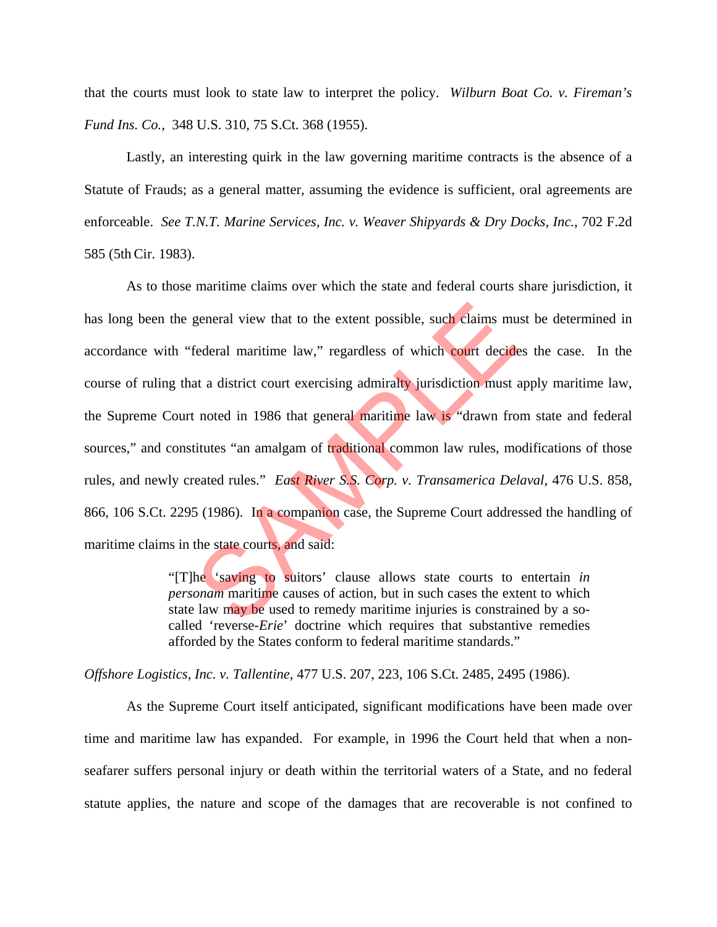that the courts must look to state law to interpret the policy. *Wilburn Boat Co. v. Fireman's Fund Ins. Co.,* 348 U.S. 310, 75 S.Ct. 368 (1955).

 Lastly, an interesting quirk in the law governing maritime contracts is the absence of a Statute of Frauds; as a general matter, assuming the evidence is sufficient, oral agreements are enforceable. *See T.N.T. Marine Services, Inc. v. Weaver Shipyards & Dry Docks, Inc.*, 702 F.2d 585 (5thCir. 1983).

 As to those maritime claims over which the state and federal courts share jurisdiction, it has long been the general view that to the extent possible, such claims must be determined in accordance with "federal maritime law," regardless of which court decides the case. In the course of ruling that a district court exercising admiralty jurisdiction must apply maritime law, the Supreme Court noted in 1986 that general maritime law is "drawn from state and federal sources," and constitutes "an amalgam of traditional common law rules, modifications of those rules, and newly created rules." *East River S.S. Corp. v. Transamerica Delaval*, 476 U.S. 858, 866, 106 S.Ct. 2295 (1986). In a companion case, the Supreme Court addressed the handling of maritime claims in the state courts, and said: general view that to the extent possible, such claims mu<br>federal maritime law," regardless of which court decide<br>at a district court exercising admiralty jurisdiction must a<br>interest in 1986 that general maritime law is "d

"[T]he 'saving to suitors' clause allows state courts to entertain *in personam* maritime causes of action, but in such cases the extent to which state law may be used to remedy maritime injuries is constrained by a socalled 'reverse-*Erie*' doctrine which requires that substantive remedies afforded by the States conform to federal maritime standards."

*Offshore Logistics, Inc. v. Tallentine*, 477 U.S. 207, 223, 106 S.Ct. 2485, 2495 (1986).

 As the Supreme Court itself anticipated, significant modifications have been made over time and maritime law has expanded. For example, in 1996 the Court held that when a nonseafarer suffers personal injury or death within the territorial waters of a State, and no federal statute applies, the nature and scope of the damages that are recoverable is not confined to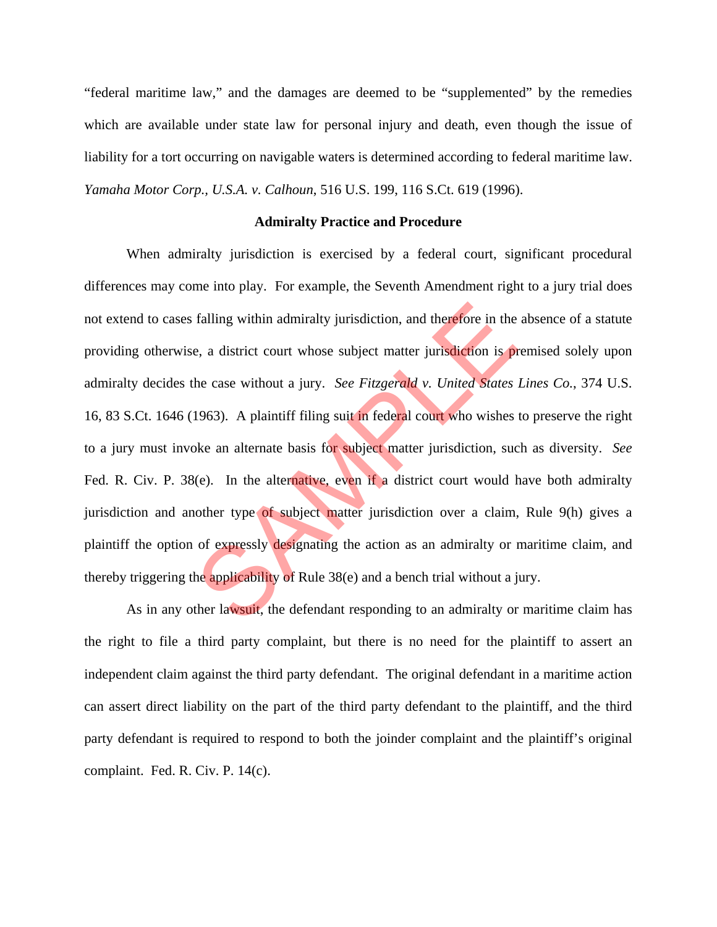"federal maritime law," and the damages are deemed to be "supplemented" by the remedies which are available under state law for personal injury and death, even though the issue of liability for a tort occurring on navigable waters is determined according to federal maritime law. *Yamaha Motor Corp., U.S.A. v. Calhoun*, 516 U.S. 199, 116 S.Ct. 619 (1996).

#### **Admiralty Practice and Procedure**

 When admiralty jurisdiction is exercised by a federal court, significant procedural differences may come into play. For example, the Seventh Amendment right to a jury trial does not extend to cases falling within admiralty jurisdiction, and therefore in the absence of a statute providing otherwise, a district court whose subject matter jurisdiction is premised solely upon admiralty decides the case without a jury. *See Fitzgerald v. United States Lines Co.*, 374 U.S. 16, 83 S.Ct. 1646 (1963). A plaintiff filing suit in federal court who wishes to preserve the right to a jury must invoke an alternate basis for subject matter jurisdiction, such as diversity. *See* Fed. R. Civ. P. 38(e). In the alternative, even if a district court would have both admiralty jurisdiction and another type of subject matter jurisdiction over a claim, Rule 9(h) gives a plaintiff the option of expressly designating the action as an admiralty or maritime claim, and thereby triggering the applicability of Rule 38(e) and a bench trial without a jury. falling within admiralty jurisdiction, and therefore in the<br>e, a district court whose subject matter jurisdiction is pr<br>he case without a jury. See Fitzgerald v. United States<br>1963). A plaintiff filing suit in federal cour

 As in any other lawsuit, the defendant responding to an admiralty or maritime claim has the right to file a third party complaint, but there is no need for the plaintiff to assert an independent claim against the third party defendant. The original defendant in a maritime action can assert direct liability on the part of the third party defendant to the plaintiff, and the third party defendant is required to respond to both the joinder complaint and the plaintiff's original complaint. Fed. R. Civ. P. 14(c).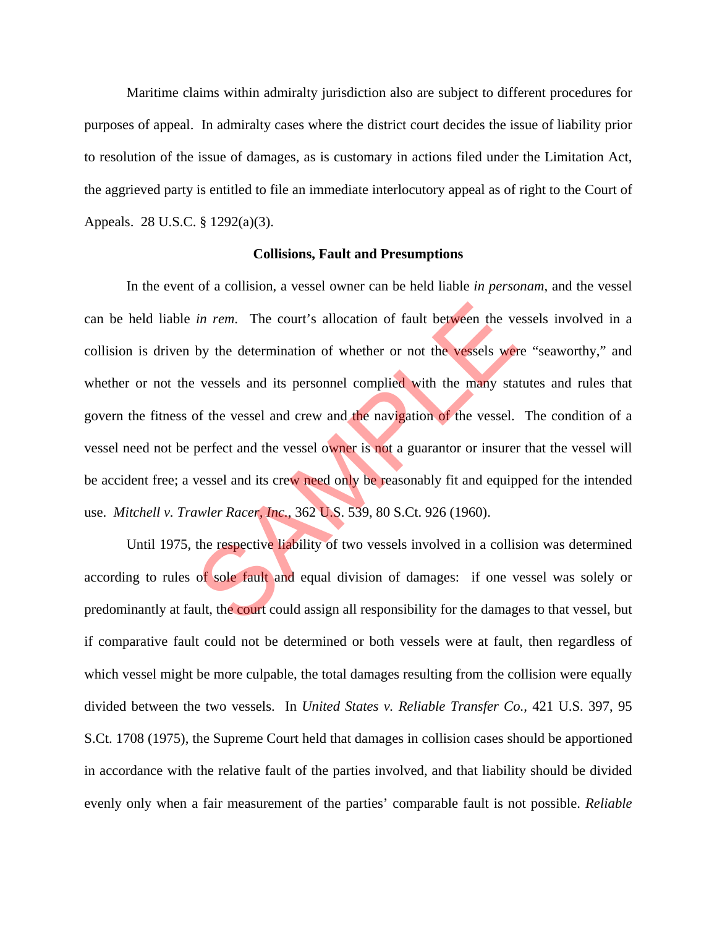Maritime claims within admiralty jurisdiction also are subject to different procedures for purposes of appeal. In admiralty cases where the district court decides the issue of liability prior to resolution of the issue of damages, as is customary in actions filed under the Limitation Act, the aggrieved party is entitled to file an immediate interlocutory appeal as of right to the Court of Appeals. 28 U.S.C. § 1292(a)(3).

#### **Collisions, Fault and Presumptions**

 In the event of a collision, a vessel owner can be held liable *in personam*, and the vessel can be held liable *in rem*. The court's allocation of fault between the vessels involved in a collision is driven by the determination of whether or not the vessels were "seaworthy," and whether or not the vessels and its personnel complied with the many statutes and rules that govern the fitness of the vessel and crew and the navigation of the vessel. The condition of a vessel need not be perfect and the vessel owner is not a guarantor or insurer that the vessel will be accident free; a vessel and its crew need only be reasonably fit and equipped for the intended use. *Mitchell v. Trawler Racer, Inc.*, 362 U.S. 539, 80 S.Ct. 926 (1960). in rem. The court's allocation of fault between the ve<br>by the determination of whether or not the vessels were<br>vessels and its personnel complied with the many sta<br>of the vessel and crew and the navigation of the vessel.<br>p

Until 1975, the respective liability of two vessels involved in a collision was determined according to rules of sole fault and equal division of damages: if one vessel was solely or predominantly at fault, the court could assign all responsibility for the damages to that vessel, but if comparative fault could not be determined or both vessels were at fault, then regardless of which vessel might be more culpable, the total damages resulting from the collision were equally divided between the two vessels. In *United States v. Reliable Transfer Co.,* 421 U.S. 397, 95 S.Ct. 1708 (1975), the Supreme Court held that damages in collision cases should be apportioned in accordance with the relative fault of the parties involved, and that liability should be divided evenly only when a fair measurement of the parties' comparable fault is not possible. *Reliable*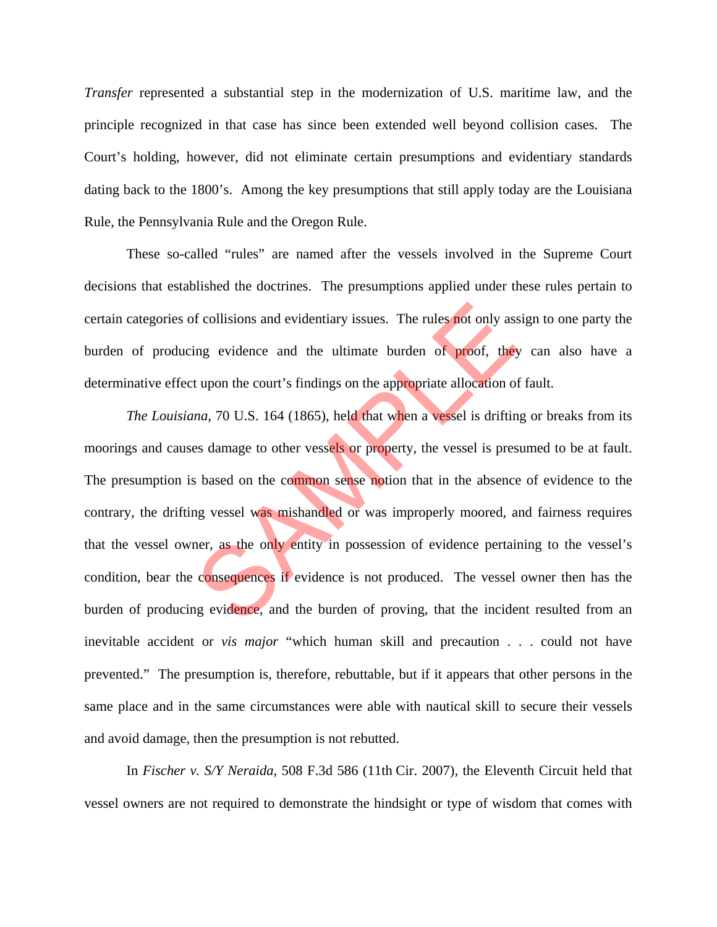*Transfer* represented a substantial step in the modernization of U.S. maritime law, and the principle recognized in that case has since been extended well beyond collision cases. The Court's holding, however, did not eliminate certain presumptions and evidentiary standards dating back to the 1800's. Among the key presumptions that still apply today are the Louisiana Rule, the Pennsylvania Rule and the Oregon Rule.

 These so-called "rules" are named after the vessels involved in the Supreme Court decisions that established the doctrines. The presumptions applied under these rules pertain to certain categories of collisions and evidentiary issues. The rules not only assign to one party the burden of producing evidence and the ultimate burden of proof, they can also have a determinative effect upon the court's findings on the appropriate allocation of fault.

*The Louisiana*, 70 U.S. 164 (1865), held that when a vessel is drifting or breaks from its moorings and causes damage to other vessels or property, the vessel is presumed to be at fault. The presumption is based on the common sense notion that in the absence of evidence to the contrary, the drifting vessel was mishandled or was improperly moored, and fairness requires that the vessel owner, as the only entity in possession of evidence pertaining to the vessel's condition, bear the consequences if evidence is not produced. The vessel owner then has the burden of producing evidence, and the burden of proving, that the incident resulted from an inevitable accident or *vis major* "which human skill and precaution . . . could not have prevented." The presumption is, therefore, rebuttable, but if it appears that other persons in the same place and in the same circumstances were able with nautical skill to secure their vessels and avoid damage, then the presumption is not rebutted. orthought in the ultimate burden of proof, they are in the ultimate burden of proof, they tupon the court's findings on the appropriate allocation of *na*, 70 U.S. 164 (1865), held that when a vessel is driftings damage to

In *Fischer v. S/Y Neraida*, 508 F.3d 586 (11th Cir. 2007), the Eleventh Circuit held that vessel owners are not required to demonstrate the hindsight or type of wisdom that comes with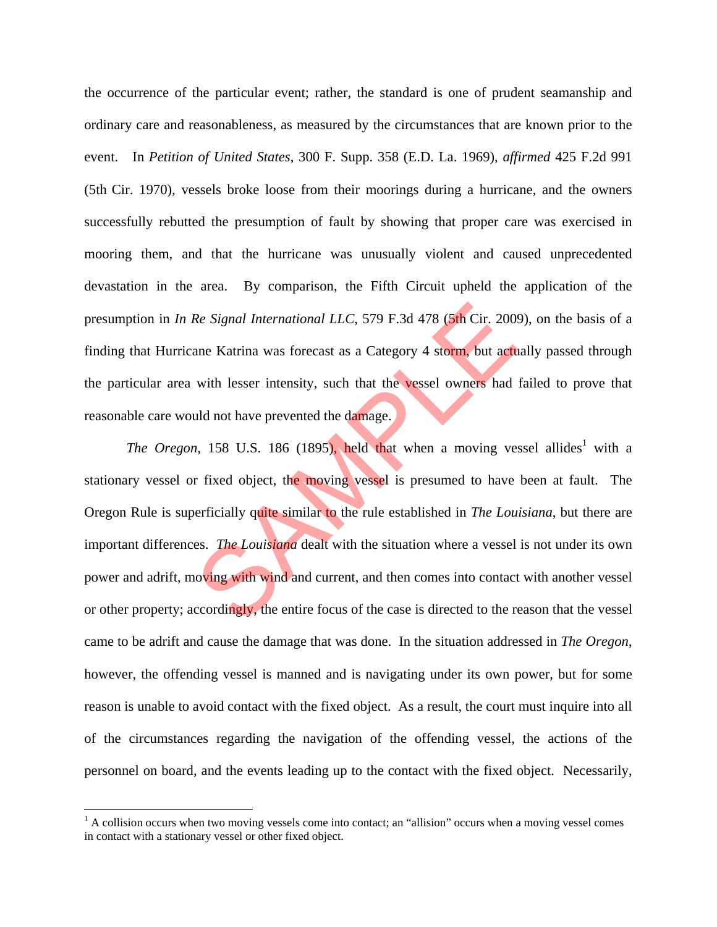the occurrence of the particular event; rather, the standard is one of prudent seamanship and ordinary care and reasonableness, as measured by the circumstances that are known prior to the event. In *Petition of United States*, 300 F. Supp. 358 (E.D. La. 1969), *affirmed* 425 F.2d 991 (5th Cir. 1970), vessels broke loose from their moorings during a hurricane, and the owners successfully rebutted the presumption of fault by showing that proper care was exercised in mooring them, and that the hurricane was unusually violent and caused unprecedented devastation in the area. By comparison, the Fifth Circuit upheld the application of the presumption in *In Re Signal International LLC*, 579 F.3d 478 (5th Cir. 2009), on the basis of a finding that Hurricane Katrina was forecast as a Category 4 storm, but actually passed through the particular area with lesser intensity, such that the vessel owners had failed to prove that reasonable care would not have prevented the damage.

The Oregon, 158 U.S. 186 (1895), held that when a moving vessel allides<sup>1</sup> with a stationary vessel or fixed object, the moving vessel is presumed to have been at fault. The Oregon Rule is superficially quite similar to the rule established in *The Louisiana*, but there are important differences. *The Louisiana* dealt with the situation where a vessel is not under its own power and adrift, moving with wind and current, and then comes into contact with another vessel or other property; accordingly, the entire focus of the case is directed to the reason that the vessel came to be adrift and cause the damage that was done. In the situation addressed in *The Oregon*, however, the offending vessel is manned and is navigating under its own power, but for some reason is unable to avoid contact with the fixed object. As a result, the court must inquire into all of the circumstances regarding the navigation of the offending vessel, the actions of the personnel on board, and the events leading up to the contact with the fixed object. Necessarily, Re Signal International LLC, 579 F.3d 478 (5th Cir. 2009)<br>ane Katrina was forecast as a Category 4 storm, but actum<br>with lesser intensity, such that the vessel owners had<br>uld not have prevented the damage.<br>1, 158 U.S. 186

1

<sup>&</sup>lt;sup>1</sup> A collision occurs when two moving vessels come into contact; an "allision" occurs when a moving vessel comes in contact with a stationary vessel or other fixed object.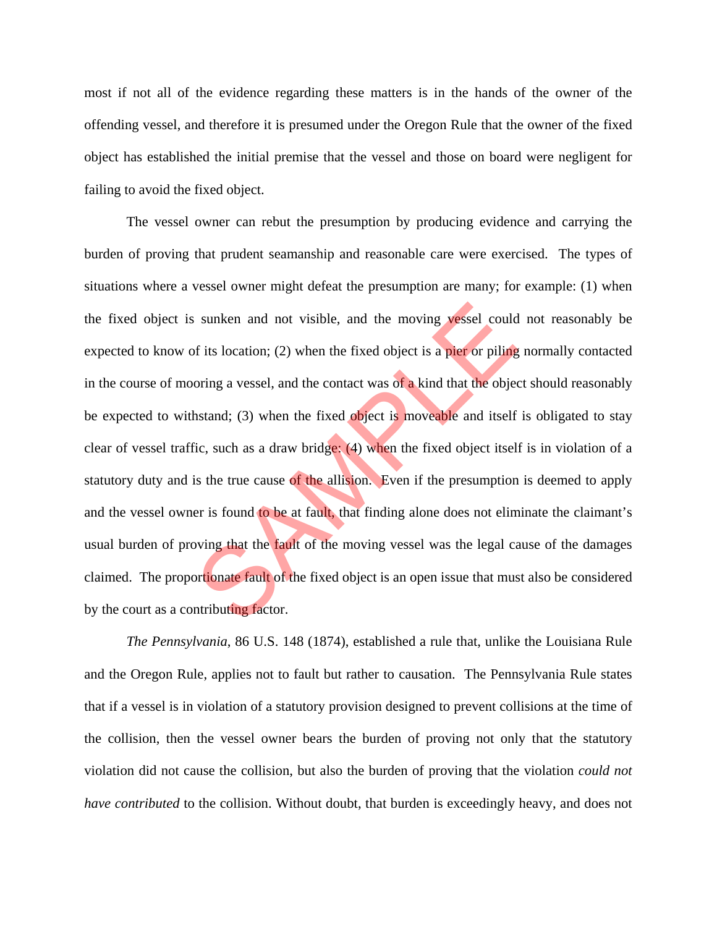most if not all of the evidence regarding these matters is in the hands of the owner of the offending vessel, and therefore it is presumed under the Oregon Rule that the owner of the fixed object has established the initial premise that the vessel and those on board were negligent for failing to avoid the fixed object.

 The vessel owner can rebut the presumption by producing evidence and carrying the burden of proving that prudent seamanship and reasonable care were exercised. The types of situations where a vessel owner might defeat the presumption are many; for example: (1) when the fixed object is sunken and not visible, and the moving vessel could not reasonably be expected to know of its location; (2) when the fixed object is a pier or piling normally contacted in the course of mooring a vessel, and the contact was of a kind that the object should reasonably be expected to withstand; (3) when the fixed object is moveable and itself is obligated to stay clear of vessel traffic, such as a draw bridge: (4) when the fixed object itself is in violation of a statutory duty and is the true cause of the allision. Even if the presumption is deemed to apply and the vessel owner is found to be at fault, that finding alone does not eliminate the claimant's usual burden of proving that the fault of the moving vessel was the legal cause of the damages claimed. The proportionate fault of the fixed object is an open issue that must also be considered by the court as a contributing factor. sunken and not visible, and the moving vessel could<br>of its location; (2) when the fixed object is a pier or piling<br>oring a vessel, and the contact was of a kind that the object<br>hstand; (3) when the fixed object is moveabl

*The Pennsylvania*, 86 U.S. 148 (1874), established a rule that, unlike the Louisiana Rule and the Oregon Rule, applies not to fault but rather to causation. The Pennsylvania Rule states that if a vessel is in violation of a statutory provision designed to prevent collisions at the time of the collision, then the vessel owner bears the burden of proving not only that the statutory violation did not cause the collision, but also the burden of proving that the violation *could not have contributed* to the collision. Without doubt, that burden is exceedingly heavy, and does not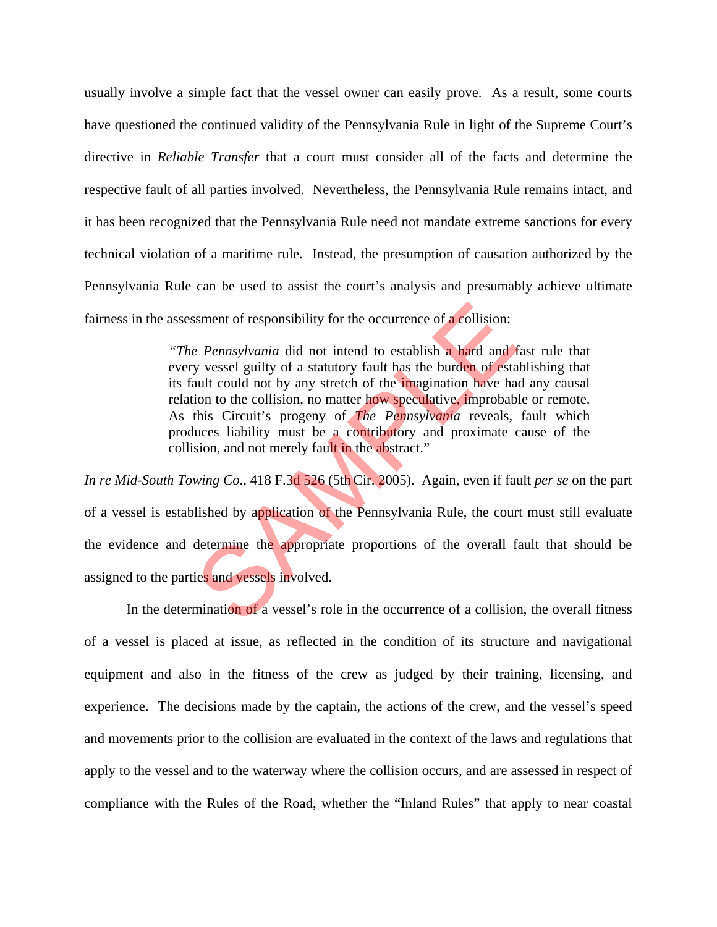usually involve a simple fact that the vessel owner can easily prove. As a result, some courts have questioned the continued validity of the Pennsylvania Rule in light of the Supreme Court's directive in *Reliable Transfer* that a court must consider all of the facts and determine the respective fault of all parties involved. Nevertheless, the Pennsylvania Rule remains intact, and it has been recognized that the Pennsylvania Rule need not mandate extreme sanctions for every technical violation of a maritime rule. Instead, the presumption of causation authorized by the Pennsylvania Rule can be used to assist the court's analysis and presumably achieve ultimate fairness in the assessment of responsibility for the occurrence of a collision:

> *"The Pennsylvania* did not intend to establish a hard and fast rule that every vessel guilty of a statutory fault has the burden of establishing that its fault could not by any stretch of the imagination have had any causal relation to the collision, no matter how speculative, improbable or remote. As this Circuit's progeny of *The Pennsylvania* reveals, fault which produces liability must be a contributory and proximate cause of the collision, and not merely fault in the abstract."

*In re Mid-South Towing Co*., 418 F.3d 526 (5th Cir. 2005). Again, even if fault *per se* on the part of a vessel is established by application of the Pennsylvania Rule, the court must still evaluate the evidence and determine the appropriate proportions of the overall fault that should be assigned to the parties and vessels involved. isment of responsibility for the occurrence of a collision:<br> *e Pennsylvania* did not intend to establish a hard and ty vessel guilty of a statutory fault has the burden of esta<br>
usual could not by any stretch of the imagi

In the determination of a vessel's role in the occurrence of a collision, the overall fitness of a vessel is placed at issue, as reflected in the condition of its structure and navigational equipment and also in the fitness of the crew as judged by their training, licensing, and experience. The decisions made by the captain, the actions of the crew, and the vessel's speed and movements prior to the collision are evaluated in the context of the laws and regulations that apply to the vessel and to the waterway where the collision occurs, and are assessed in respect of compliance with the Rules of the Road, whether the "Inland Rules" that apply to near coastal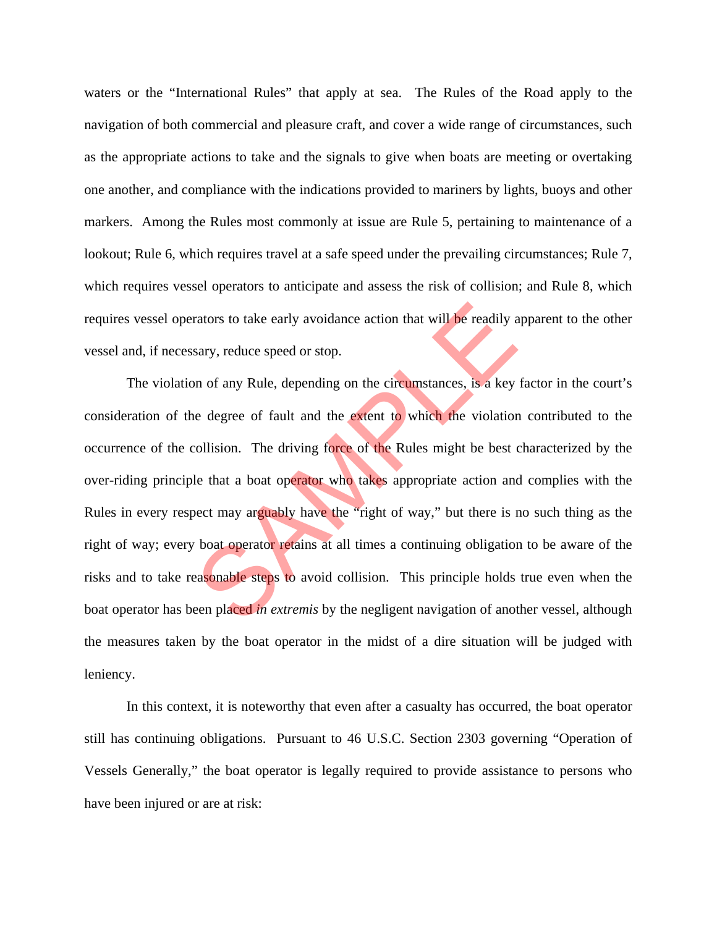waters or the "International Rules" that apply at sea. The Rules of the Road apply to the navigation of both commercial and pleasure craft, and cover a wide range of circumstances, such as the appropriate actions to take and the signals to give when boats are meeting or overtaking one another, and compliance with the indications provided to mariners by lights, buoys and other markers. Among the Rules most commonly at issue are Rule 5, pertaining to maintenance of a lookout; Rule 6, which requires travel at a safe speed under the prevailing circumstances; Rule 7, which requires vessel operators to anticipate and assess the risk of collision; and Rule 8, which requires vessel operators to take early avoidance action that will be readily apparent to the other vessel and, if necessary, reduce speed or stop.

 The violation of any Rule, depending on the circumstances, is a key factor in the court's consideration of the degree of fault and the extent to which the violation contributed to the occurrence of the collision. The driving force of the Rules might be best characterized by the over-riding principle that a boat operator who takes appropriate action and complies with the Rules in every respect may arguably have the "right of way," but there is no such thing as the right of way; every boat operator retains at all times a continuing obligation to be aware of the risks and to take reasonable steps to avoid collision. This principle holds true even when the boat operator has been placed *in extremis* by the negligent navigation of another vessel, although the measures taken by the boat operator in the midst of a dire situation will be judged with leniency. rators to take early avoidance action that will be readily a<br>sary, reduce speed or stop.<br>In of any Rule, depending on the circumstances, is a key<br>reduce degree of fault and the extent to which the violatior<br>collision. The

 In this context, it is noteworthy that even after a casualty has occurred, the boat operator still has continuing obligations. Pursuant to 46 U.S.C. Section 2303 governing "Operation of Vessels Generally," the boat operator is legally required to provide assistance to persons who have been injured or are at risk: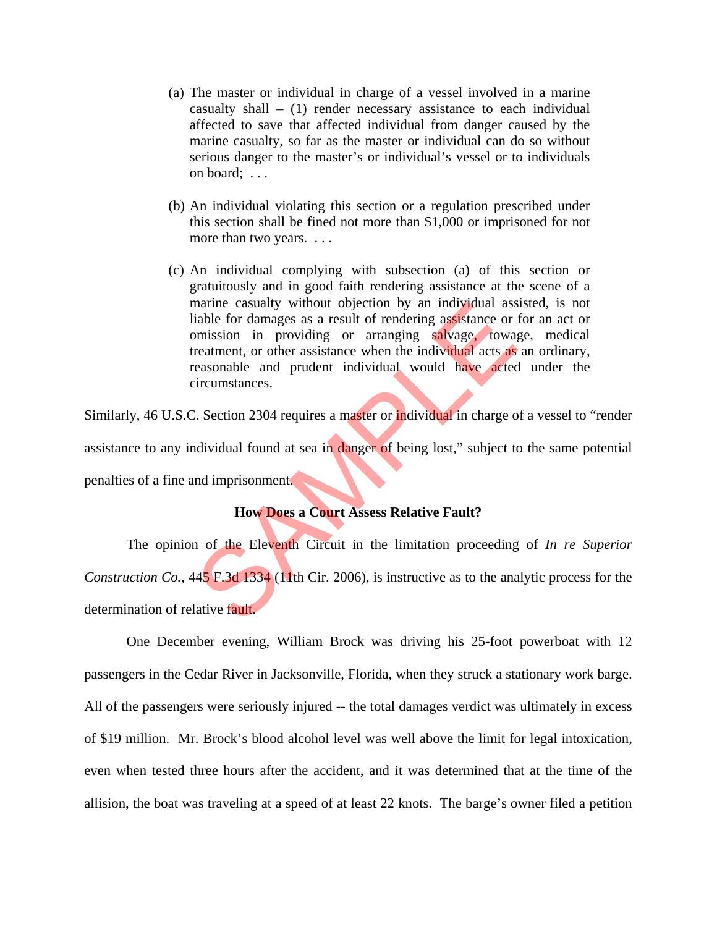- (a) The master or individual in charge of a vessel involved in a marine casualty shall  $-$  (1) render necessary assistance to each individual affected to save that affected individual from danger caused by the marine casualty, so far as the master or individual can do so without serious danger to the master's or individual's vessel or to individuals on board; . . .
- (b) An individual violating this section or a regulation prescribed under this section shall be fined not more than \$1,000 or imprisoned for not more than two years. . . .
- (c) An individual complying with subsection (a) of this section or gratuitously and in good faith rendering assistance at the scene of a marine casualty without objection by an individual assisted, is not liable for damages as a result of rendering assistance or for an act or omission in providing or arranging salvage, towage, medical treatment, or other assistance when the individual acts as an ordinary, reasonable and prudent individual would have acted under the circumstances. marine casualty without objection by an individual assistable for damages as a result of rendering assistance or mission in providing or arranging salvage, toware reatment, or other assistance when the individual acts as e

Similarly, 46 U.S.C. Section 2304 requires a master or individual in charge of a vessel to "render assistance to any individual found at sea in danger of being lost," subject to the same potential penalties of a fine and imprisonment.

#### **How Does a Court Assess Relative Fault?**

 The opinion of the Eleventh Circuit in the limitation proceeding of *In re Superior Construction Co.*, 445 F.3d 1334 (11th Cir. 2006), is instructive as to the analytic process for the determination of relative fault.

 One December evening, William Brock was driving his 25-foot powerboat with 12 passengers in the Cedar River in Jacksonville, Florida, when they struck a stationary work barge. All of the passengers were seriously injured -- the total damages verdict was ultimately in excess of \$19 million. Mr. Brock's blood alcohol level was well above the limit for legal intoxication, even when tested three hours after the accident, and it was determined that at the time of the allision, the boat was traveling at a speed of at least 22 knots. The barge's owner filed a petition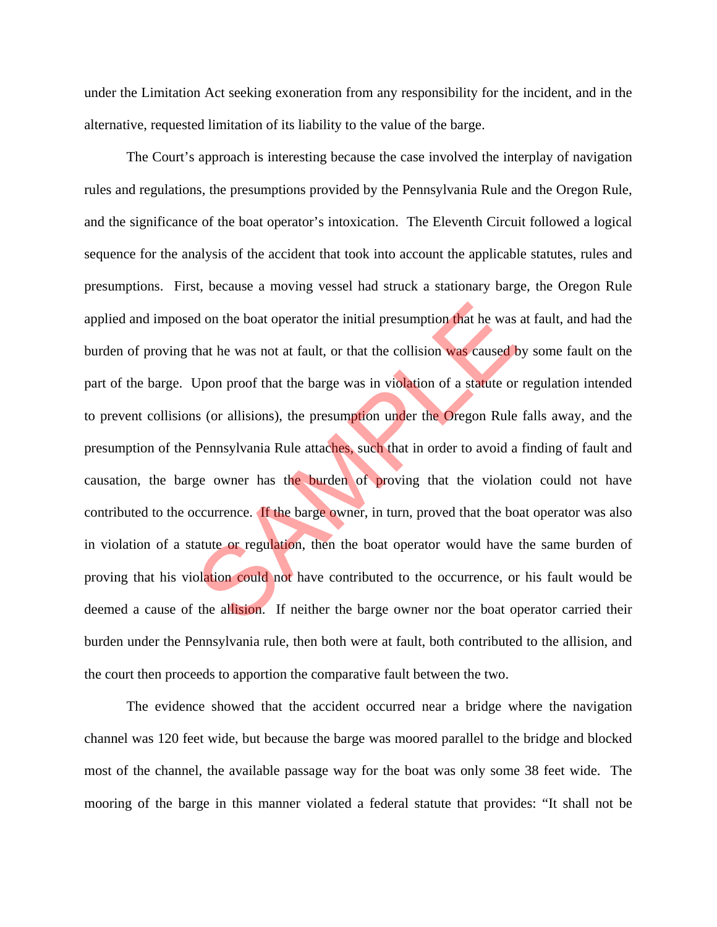under the Limitation Act seeking exoneration from any responsibility for the incident, and in the alternative, requested limitation of its liability to the value of the barge.

 The Court's approach is interesting because the case involved the interplay of navigation rules and regulations, the presumptions provided by the Pennsylvania Rule and the Oregon Rule, and the significance of the boat operator's intoxication. The Eleventh Circuit followed a logical sequence for the analysis of the accident that took into account the applicable statutes, rules and presumptions. First, because a moving vessel had struck a stationary barge, the Oregon Rule applied and imposed on the boat operator the initial presumption that he was at fault, and had the burden of proving that he was not at fault, or that the collision was caused by some fault on the part of the barge. Upon proof that the barge was in violation of a statute or regulation intended to prevent collisions (or allisions), the presumption under the Oregon Rule falls away, and the presumption of the Pennsylvania Rule attaches, such that in order to avoid a finding of fault and causation, the barge owner has the burden of proving that the violation could not have contributed to the occurrence. If the barge owner, in turn, proved that the boat operator was also in violation of a statute or regulation, then the boat operator would have the same burden of proving that his violation could not have contributed to the occurrence, or his fault would be deemed a cause of the allision. If neither the barge owner nor the boat operator carried their burden under the Pennsylvania rule, then both were at fault, both contributed to the allision, and the court then proceeds to apportion the comparative fault between the two. d on the boat operator the initial presumption that he was<br>that he was not at fault, or that the collision was caused by<br>Upon proof that the barge was in violation of a statute or<br>is (or allisions), the presumption under t

 The evidence showed that the accident occurred near a bridge where the navigation channel was 120 feet wide, but because the barge was moored parallel to the bridge and blocked most of the channel, the available passage way for the boat was only some 38 feet wide. The mooring of the barge in this manner violated a federal statute that provides: "It shall not be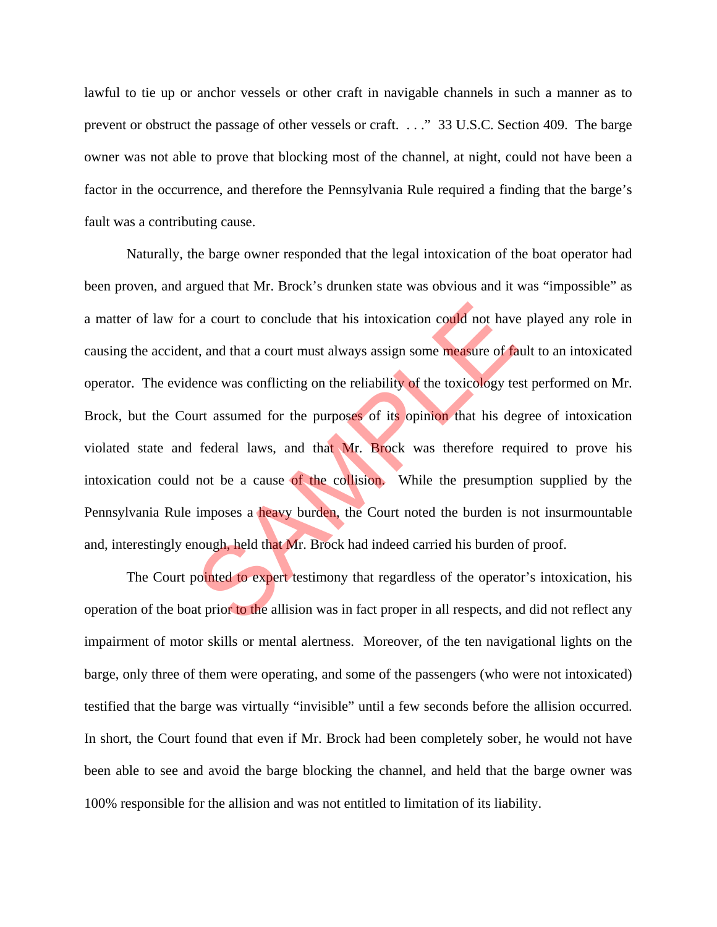lawful to tie up or anchor vessels or other craft in navigable channels in such a manner as to prevent or obstruct the passage of other vessels or craft. . . ." 33 U.S.C. Section 409. The barge owner was not able to prove that blocking most of the channel, at night, could not have been a factor in the occurrence, and therefore the Pennsylvania Rule required a finding that the barge's fault was a contributing cause.

 Naturally, the barge owner responded that the legal intoxication of the boat operator had been proven, and argued that Mr. Brock's drunken state was obvious and it was "impossible" as a matter of law for a court to conclude that his intoxication could not have played any role in causing the accident, and that a court must always assign some measure of fault to an intoxicated operator. The evidence was conflicting on the reliability of the toxicology test performed on Mr. Brock, but the Court assumed for the purposes of its opinion that his degree of intoxication violated state and federal laws, and that Mr. Brock was therefore required to prove his intoxication could not be a cause of the collision. While the presumption supplied by the Pennsylvania Rule imposes a heavy burden, the Court noted the burden is not insurmountable and, interestingly enough, held that Mr. Brock had indeed carried his burden of proof. a court to conclude that his intoxication could not have<br>t, and that a court must always assign some measure of fa<br>ence was conflicting on the reliability of the toxicology te<br>urt assumed for the purposes of its opinion th

The Court pointed to expert testimony that regardless of the operator's intoxication, his operation of the boat prior to the allision was in fact proper in all respects, and did not reflect any impairment of motor skills or mental alertness. Moreover, of the ten navigational lights on the barge, only three of them were operating, and some of the passengers (who were not intoxicated) testified that the barge was virtually "invisible" until a few seconds before the allision occurred. In short, the Court found that even if Mr. Brock had been completely sober, he would not have been able to see and avoid the barge blocking the channel, and held that the barge owner was 100% responsible for the allision and was not entitled to limitation of its liability.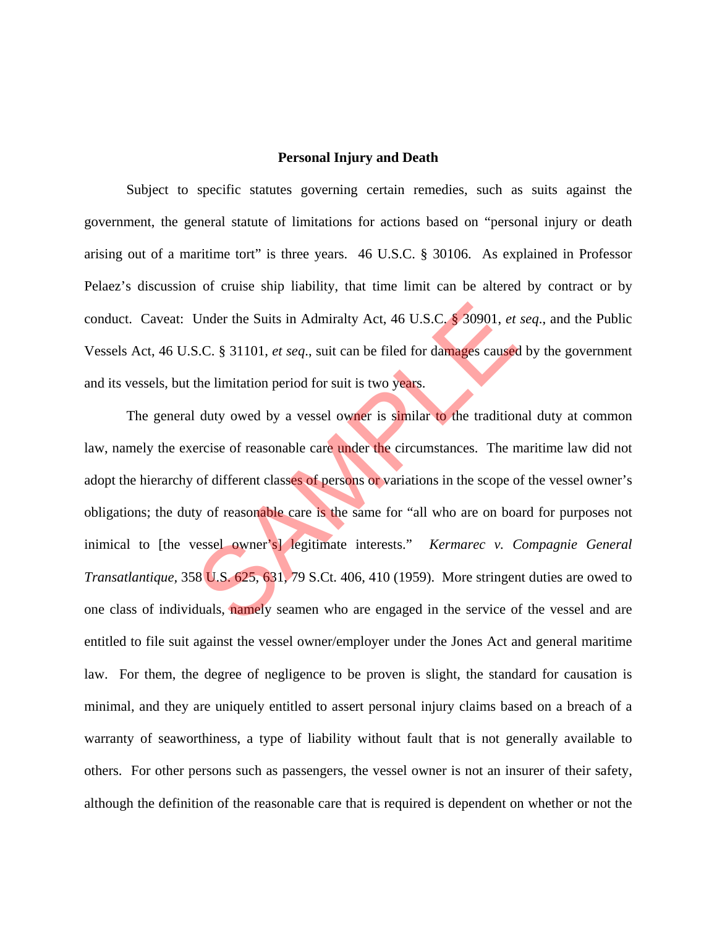#### **Personal Injury and Death**

 Subject to specific statutes governing certain remedies, such as suits against the government, the general statute of limitations for actions based on "personal injury or death arising out of a maritime tort" is three years. 46 U.S.C. § 30106. As explained in Professor Pelaez's discussion of cruise ship liability, that time limit can be altered by contract or by conduct. Caveat: Under the Suits in Admiralty Act, 46 U.S.C. § 30901, *et seq*., and the Public Vessels Act, 46 U.S.C. § 31101, *et seq*., suit can be filed for damages caused by the government and its vessels, but the limitation period for suit is two years.

The general duty owed by a vessel owner is similar to the traditional duty at common law, namely the exercise of reasonable care under the circumstances. The maritime law did not adopt the hierarchy of different classes of persons or variations in the scope of the vessel owner's obligations; the duty of reasonable care is the same for "all who are on board for purposes not inimical to [the vessel owner's] legitimate interests." *Kermarec v. Compagnie General Transatlantique,* 358 U.S. 625, 631, 79 S.Ct. 406, 410 (1959). More stringent duties are owed to one class of individuals, namely seamen who are engaged in the service of the vessel and are entitled to file suit against the vessel owner/employer under the Jones Act and general maritime law. For them, the degree of negligence to be proven is slight, the standard for causation is minimal, and they are uniquely entitled to assert personal injury claims based on a breach of a warranty of seaworthiness, a type of liability without fault that is not generally available to others. For other persons such as passengers, the vessel owner is not an insurer of their safety, although the definition of the reasonable care that is required is dependent on whether or not the Under the Suits in Admiralty Act, 46 U.S.C. § 30901, *et*<br>S.C. § 31101, *et seq.*, suit can be filed for damages caused<br>the limitation period for suit is two years.<br>Let duty owed by a vessel owner is similar to the tradit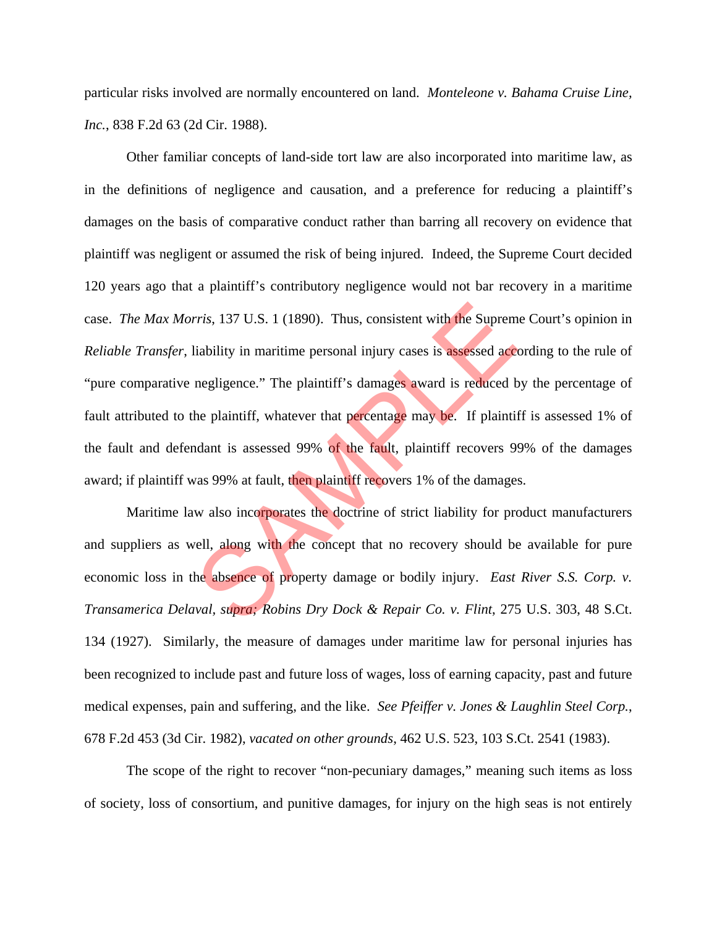particular risks involved are normally encountered on land. *Monteleone v. Bahama Cruise Line, Inc.*, 838 F.2d 63 (2d Cir. 1988).

 Other familiar concepts of land-side tort law are also incorporated into maritime law, as in the definitions of negligence and causation, and a preference for reducing a plaintiff's damages on the basis of comparative conduct rather than barring all recovery on evidence that plaintiff was negligent or assumed the risk of being injured. Indeed, the Supreme Court decided 120 years ago that a plaintiff's contributory negligence would not bar recovery in a maritime case. *The Max Morris*, 137 U.S. 1 (1890). Thus, consistent with the Supreme Court's opinion in *Reliable Transfer*, liability in maritime personal injury cases is assessed according to the rule of "pure comparative negligence." The plaintiff's damages award is reduced by the percentage of fault attributed to the plaintiff, whatever that percentage may be. If plaintiff is assessed 1% of the fault and defendant is assessed 99% of the fault, plaintiff recovers 99% of the damages award; if plaintiff was 99% at fault, then plaintiff recovers 1% of the damages. *rris*, 137 U.S. 1 (1890). Thus, consistent with the Suprem<br>liability in maritime personal injury cases is assessed accomegligence." The plaintiff's damages award is reduced b<br>he plaintiff, whatever that percentage may be.

Maritime law also incorporates the doctrine of strict liability for product manufacturers and suppliers as well, along with the concept that no recovery should be available for pure economic loss in the absence of property damage or bodily injury. *East River S.S. Corp. v. Transamerica Delaval, supra; Robins Dry Dock & Repair Co. v. Flint*, 275 U.S. 303, 48 S.Ct. 134 (1927). Similarly, the measure of damages under maritime law for personal injuries has been recognized to include past and future loss of wages, loss of earning capacity, past and future medical expenses, pain and suffering, and the like. *See Pfeiffer v. Jones & Laughlin Steel Corp.*, 678 F.2d 453 (3d Cir. 1982), *vacated on other grounds*, 462 U.S. 523, 103 S.Ct. 2541 (1983).

 The scope of the right to recover "non-pecuniary damages," meaning such items as loss of society, loss of consortium, and punitive damages, for injury on the high seas is not entirely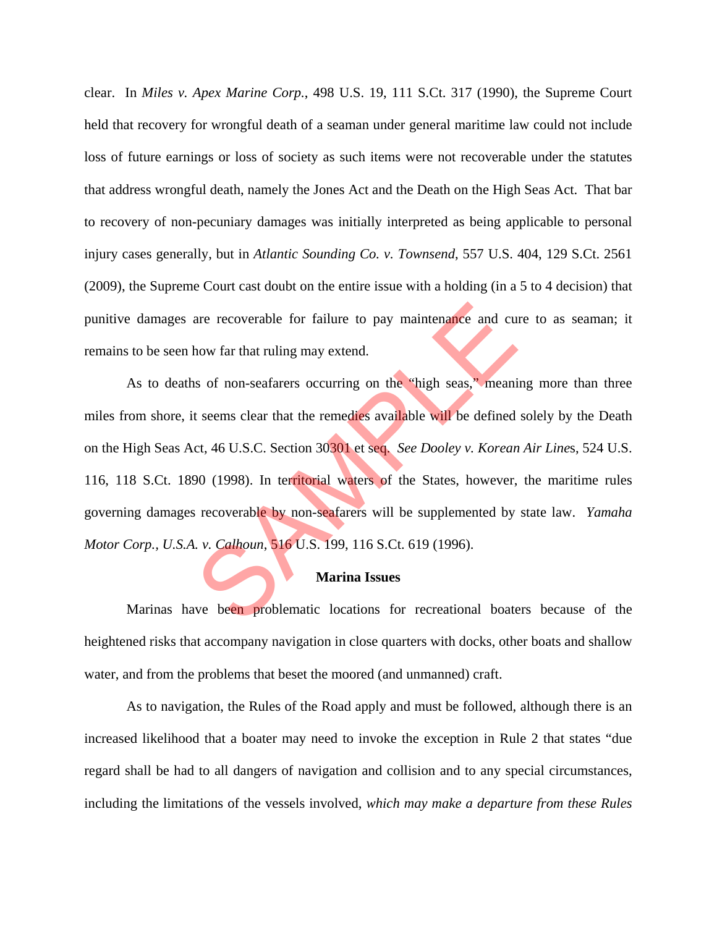clear. In *Miles v. Apex Marine Corp.*, 498 U.S. 19, 111 S.Ct. 317 (1990), the Supreme Court held that recovery for wrongful death of a seaman under general maritime law could not include loss of future earnings or loss of society as such items were not recoverable under the statutes that address wrongful death, namely the Jones Act and the Death on the High Seas Act. That bar to recovery of non-pecuniary damages was initially interpreted as being applicable to personal injury cases generally, but in *Atlantic Sounding Co. v. Townsend*, 557 U.S. 404, 129 S.Ct. 2561 (2009), the Supreme Court cast doubt on the entire issue with a holding (in a 5 to 4 decision) that punitive damages are recoverable for failure to pay maintenance and cure to as seaman; it remains to be seen how far that ruling may extend.

As to deaths of non-seafarers occurring on the "high seas," meaning more than three miles from shore, it seems clear that the remedies available will be defined solely by the Death on the High Seas Act, 46 U.S.C. Section 30301 et seq. *See Dooley v. Korean Air Line*s, 524 U.S. 116, 118 S.Ct. 1890 (1998). In territorial waters of the States, however, the maritime rules governing damages recoverable by non-seafarers will be supplemented by state law. *Yamaha Motor Corp., U.S.A. v. Calhoun*, 516 U.S. 199, 116 S.Ct. 619 (1996). are recoverable for failure to pay maintenance and cu<br>how far that ruling may extend.<br>So of non-seafarers occurring on the "high seas," meanit<br>t seems clear that the remedies available will be defined<br>ct, 46 U.S.C. Section

#### **Marina Issues**

Marinas have been problematic locations for recreational boaters because of the heightened risks that accompany navigation in close quarters with docks, other boats and shallow water, and from the problems that beset the moored (and unmanned) craft.

 As to navigation, the Rules of the Road apply and must be followed, although there is an increased likelihood that a boater may need to invoke the exception in Rule 2 that states "due regard shall be had to all dangers of navigation and collision and to any special circumstances, including the limitations of the vessels involved, *which may make a departure from these Rules*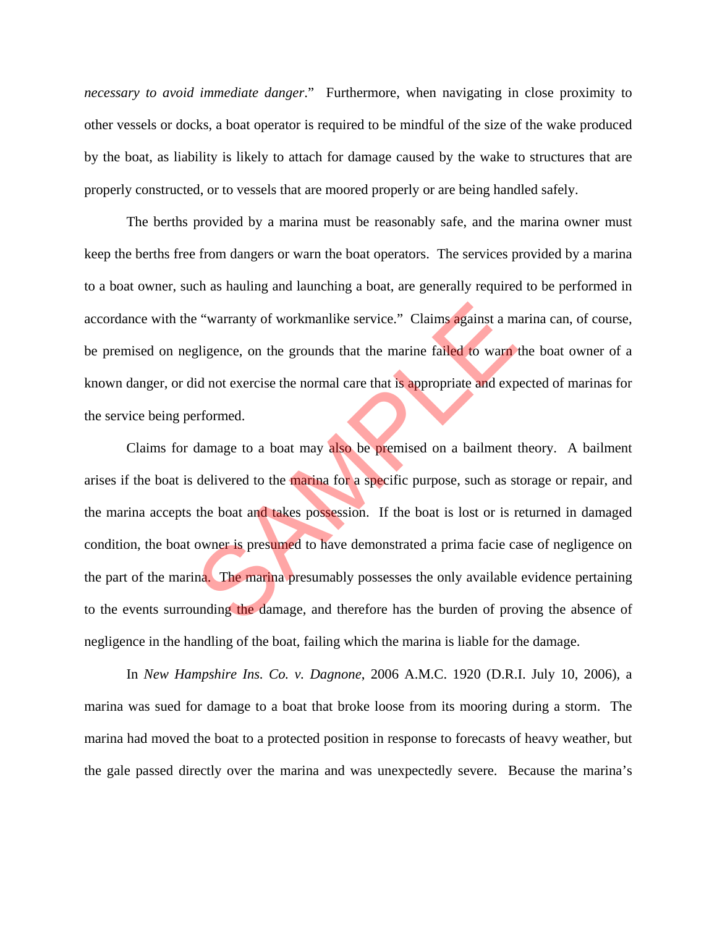*necessary to avoid immediate danger*." Furthermore, when navigating in close proximity to other vessels or docks, a boat operator is required to be mindful of the size of the wake produced by the boat, as liability is likely to attach for damage caused by the wake to structures that are properly constructed, or to vessels that are moored properly or are being handled safely.

 The berths provided by a marina must be reasonably safe, and the marina owner must keep the berths free from dangers or warn the boat operators. The services provided by a marina to a boat owner, such as hauling and launching a boat, are generally required to be performed in accordance with the "warranty of workmanlike service." Claims against a marina can, of course, be premised on negligence, on the grounds that the marine failed to warn the boat owner of a known danger, or did not exercise the normal care that is appropriate and expected of marinas for the service being performed.

 Claims for damage to a boat may also be premised on a bailment theory. A bailment arises if the boat is delivered to the marina for a specific purpose, such as storage or repair, and the marina accepts the boat and takes possession. If the boat is lost or is returned in damaged condition, the boat owner is presumed to have demonstrated a prima facie case of negligence on the part of the marina. The marina presumably possesses the only available evidence pertaining to the events surrounding the damage, and therefore has the burden of proving the absence of negligence in the handling of the boat, failing which the marina is liable for the damage. e "warranty of workmanlike service." Claims against a m<br>gligence, on the grounds that the marine failed to warn<br>id not exercise the normal care that is appropriate and exp<br>erformed.<br>damage to a boat may also be premised on

 In *New Hampshire Ins. Co. v. Dagnone*, 2006 A.M.C. 1920 (D.R.I. July 10, 2006), a marina was sued for damage to a boat that broke loose from its mooring during a storm. The marina had moved the boat to a protected position in response to forecasts of heavy weather, but the gale passed directly over the marina and was unexpectedly severe. Because the marina's